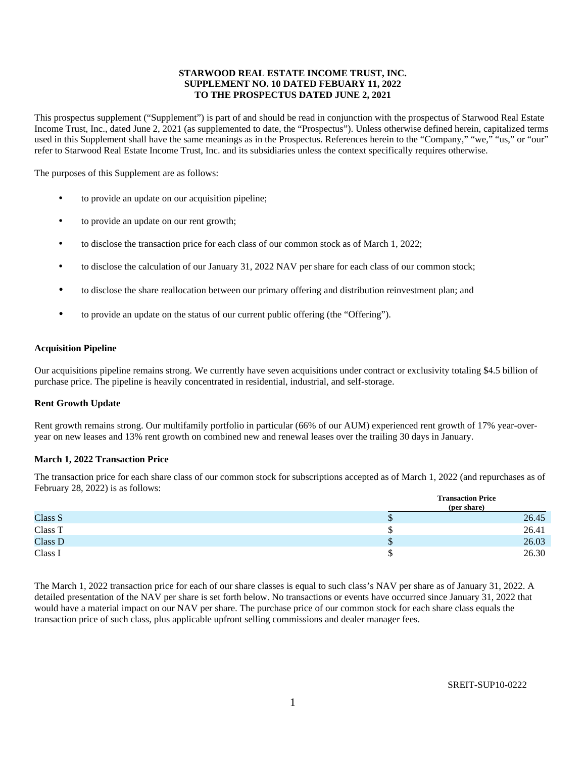# **STARWOOD REAL ESTATE INCOME TRUST, INC. SUPPLEMENT NO. 10 DATED FEBUARY 11, 2022 TO THE PROSPECTUS DATED JUNE 2, 2021**

This prospectus supplement ("Supplement") is part of and should be read in conjunction with the prospectus of Starwood Real Estate Income Trust, Inc., dated June 2, 2021 (as supplemented to date, the "Prospectus"). Unless otherwise defined herein, capitalized terms used in this Supplement shall have the same meanings as in the Prospectus. References herein to the "Company," "we," "us," or "our" refer to Starwood Real Estate Income Trust, Inc. and its subsidiaries unless the context specifically requires otherwise.

The purposes of this Supplement are as follows:

- to provide an update on our acquisition pipeline;
- to provide an update on our rent growth;
- to disclose the transaction price for each class of our common stock as of March 1, 2022;
- to disclose the calculation of our January 31, 2022 NAV per share for each class of our common stock;
- to disclose the share reallocation between our primary offering and distribution reinvestment plan; and
- to provide an update on the status of our current public offering (the "Offering").

### **Acquisition Pipeline**

Our acquisitions pipeline remains strong. We currently have seven acquisitions under contract or exclusivity totaling \$4.5 billion of purchase price. The pipeline is heavily concentrated in residential, industrial, and self-storage.

### **Rent Growth Update**

Rent growth remains strong. Our multifamily portfolio in particular (66% of our AUM) experienced rent growth of 17% year-overyear on new leases and 13% rent growth on combined new and renewal leases over the trailing 30 days in January.

### **March 1, 2022 Transaction Price**

The transaction price for each share class of our common stock for subscriptions accepted as of March 1, 2022 (and repurchases as of February 28, 2022) is as follows:

|         | <b>Transaction Price</b><br>(per share) |       |  |  |  |  |  |
|---------|-----------------------------------------|-------|--|--|--|--|--|
| Class S | ۰                                       | 26.45 |  |  |  |  |  |
| Class T |                                         | 26.41 |  |  |  |  |  |
| Class D | ۰                                       | 26.03 |  |  |  |  |  |
| Class I |                                         | 26.30 |  |  |  |  |  |

The March 1, 2022 transaction price for each of our share classes is equal to such class's NAV per share as of January 31, 2022. A detailed presentation of the NAV per share is set forth below. No transactions or events have occurred since January 31, 2022 that would have a material impact on our NAV per share. The purchase price of our common stock for each share class equals the transaction price of such class, plus applicable upfront selling commissions and dealer manager fees.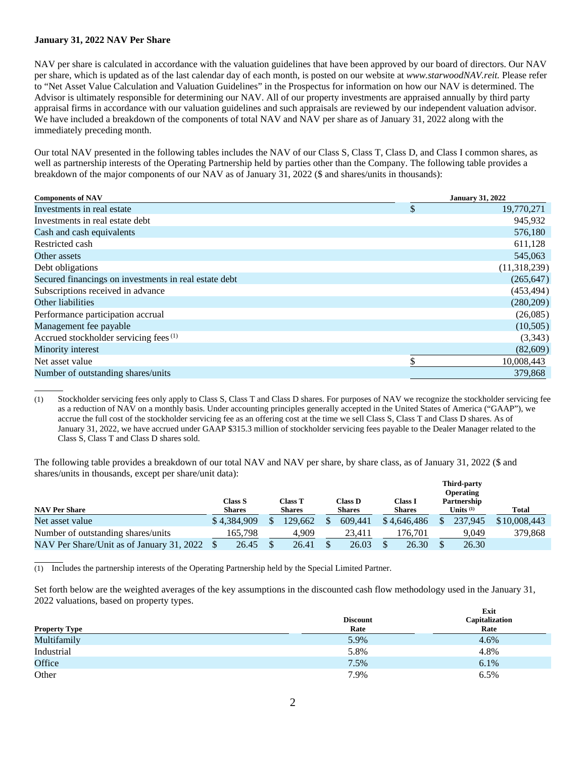# **January 31, 2022 NAV Per Share**

NAV per share is calculated in accordance with the valuation guidelines that have been approved by our board of directors. Our NAV per share, which is updated as of the last calendar day of each month, is posted on our website at *www.starwoodNAV.reit.* Please refer to "Net Asset Value Calculation and Valuation Guidelines" in the Prospectus for information on how our NAV is determined. The Advisor is ultimately responsible for determining our NAV. All of our property investments are appraised annually by third party appraisal firms in accordance with our valuation guidelines and such appraisals are reviewed by our independent valuation advisor. We have included a breakdown of the components of total NAV and NAV per share as of January 31, 2022 along with the immediately preceding month.

Our total NAV presented in the following tables includes the NAV of our Class S, Class T, Class D, and Class I common shares, as well as partnership interests of the Operating Partnership held by parties other than the Company. The following table provides a breakdown of the major components of our NAV as of January 31, 2022 (\$ and shares/units in thousands):

| <b>Components of NAV</b>                              | <b>January 31, 2022</b> |              |  |
|-------------------------------------------------------|-------------------------|--------------|--|
| Investments in real estate                            | \$                      | 19,770,271   |  |
| Investments in real estate debt                       |                         | 945,932      |  |
| Cash and cash equivalents                             |                         | 576,180      |  |
| Restricted cash                                       |                         | 611,128      |  |
| Other assets                                          |                         | 545,063      |  |
| Debt obligations                                      |                         | (11,318,239) |  |
| Secured financings on investments in real estate debt |                         | (265, 647)   |  |
| Subscriptions received in advance                     |                         | (453, 494)   |  |
| Other liabilities                                     |                         | (280,209)    |  |
| Performance participation accrual                     |                         | (26,085)     |  |
| Management fee payable                                |                         | (10,505)     |  |
| Accrued stockholder servicing fees <sup>(1)</sup>     |                         | (3,343)      |  |
| Minority interest                                     |                         | (82,609)     |  |
| Net asset value                                       | \$                      | 10,008,443   |  |
| Number of outstanding shares/units                    |                         | 379,868      |  |
|                                                       |                         |              |  |

(1) Stockholder servicing fees only apply to Class S, Class T and Class D shares. For purposes of NAV we recognize the stockholder servicing fee as a reduction of NAV on a monthly basis. Under accounting principles generally accepted in the United States of America ("GAAP"), we accrue the full cost of the stockholder servicing fee as an offering cost at the time we sell Class S, Class T and Class D shares. As of January 31, 2022, we have accrued under GAAP \$315.3 million of stockholder servicing fees payable to the Dealer Manager related to the Class S, Class T and Class D shares sold.

The following table provides a breakdown of our total NAV and NAV per share, by share class, as of January 31, 2022 (\$ and shares/units in thousands, except per share/unit data):

|                                           |                          |                                 |                          |                          | <b>Third-party</b><br><b>Operating</b> |              |
|-------------------------------------------|--------------------------|---------------------------------|--------------------------|--------------------------|----------------------------------------|--------------|
| <b>NAV Per Share</b>                      | Class S<br><b>Shares</b> | <b>Class T</b><br><b>Shares</b> | Class D<br><b>Shares</b> | Class I<br><b>Shares</b> | Partnership<br>Units <sup>(1)</sup>    | <b>Total</b> |
| Net asset value                           | \$4.384.909              | 129.662                         | 609.441                  | \$4,646,486              | 237,945                                | \$10,008,443 |
| Number of outstanding shares/units        | 165.798                  | 4.909                           | 23.411                   | 176.701                  | 9.049                                  | 379,868      |
| NAV Per Share/Unit as of January 31, 2022 | 26.45                    | 26.41                           | 26.03                    | 26.30                    | 26.30                                  |              |

 $\overline{a}$ (1) Includes the partnership interests of the Operating Partnership held by the Special Limited Partner.

Set forth below are the weighted averages of the key assumptions in the discounted cash flow methodology used in the January 31, 2022 valuations, based on property types.

|                      | <b>Discount</b> | Exit<br>Capitalization |
|----------------------|-----------------|------------------------|
| <b>Property Type</b> | Rate            | Rate                   |
| Multifamily          | 5.9%            | 4.6%                   |
| Industrial           | 5.8%            | 4.8%                   |
| Office               | 7.5%            | 6.1%                   |
| Other                | 7.9%            | 6.5%                   |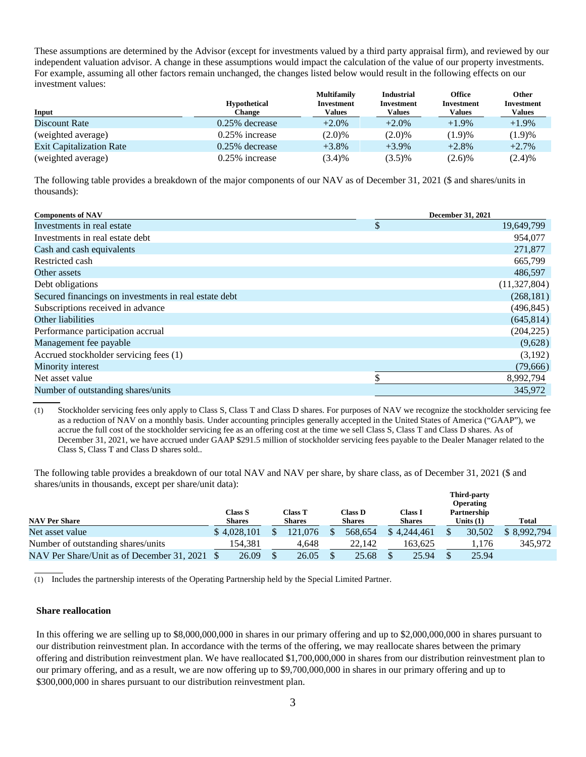These assumptions are determined by the Advisor (except for investments valued by a third party appraisal firm), and reviewed by our independent valuation advisor. A change in these assumptions would impact the calculation of the value of our property investments. For example, assuming all other factors remain unchanged, the changes listed below would result in the following effects on our investment values:

|                                 |                     | <b>Multifamily</b> | <b>Industrial</b> | Office     | Other             |
|---------------------------------|---------------------|--------------------|-------------------|------------|-------------------|
|                                 | <b>Hypothetical</b> | Investment         | <b>Investment</b> | Investment | <b>Investment</b> |
| Input                           | Change              | Values             | Values            | Values     | Values            |
| Discount Rate                   | $0.25\%$ decrease   | $+2.0\%$           | $+2.0%$           | $+1.9\%$   | $+1.9\%$          |
| (weighted average)              | $0.25\%$ increase   | $(2.0)\%$          | (2.0)%            | (1.9)%     | (1.9)%            |
| <b>Exit Capitalization Rate</b> | $0.25\%$ decrease   | $+3.8\%$           | $+3.9\%$          | $+2.8%$    | $+2.7%$           |
| (weighted average)              | $0.25\%$ increase   | (3.4)%             | $(3.5)\%$         | $(2.6)\%$  | (2.4)%            |

The following table provides a breakdown of the major components of our NAV as of December 31, 2021 (\$ and shares/units in thousands):

| <b>Components of NAV</b>                              | <b>December 31, 2021</b> |
|-------------------------------------------------------|--------------------------|
| Investments in real estate                            | \$<br>19,649,799         |
| Investments in real estate debt                       | 954,077                  |
| Cash and cash equivalents                             | 271,877                  |
| Restricted cash                                       | 665,799                  |
| Other assets                                          | 486,597                  |
| Debt obligations                                      | (11,327,804)             |
| Secured financings on investments in real estate debt | (268, 181)               |
| Subscriptions received in advance                     | (496, 845)               |
| Other liabilities                                     | (645, 814)               |
| Performance participation accrual                     | (204, 225)               |
| Management fee payable                                | (9,628)                  |
| Accrued stockholder servicing fees (1)                | (3,192)                  |
| Minority interest                                     | (79,666)                 |
| Net asset value                                       | \$<br>8,992,794          |
| Number of outstanding shares/units                    | 345,972                  |

(1) Stockholder servicing fees only apply to Class S, Class T and Class D shares. For purposes of NAV we recognize the stockholder servicing fee as a reduction of NAV on a monthly basis. Under accounting principles generally accepted in the United States of America ("GAAP"), we accrue the full cost of the stockholder servicing fee as an offering cost at the time we sell Class S, Class T and Class D shares. As of December 31, 2021, we have accrued under GAAP \$291.5 million of stockholder servicing fees payable to the Dealer Manager related to the Class S, Class T and Class D shares sold..

The following table provides a breakdown of our total NAV and NAV per share, by share class, as of December 31, 2021 (\$ and shares/units in thousands, except per share/unit data): **Third-party** 

|                                               |                                 |                   |                                 |                                 | 1 mra-party<br><b>Operating</b> |              |
|-----------------------------------------------|---------------------------------|-------------------|---------------------------------|---------------------------------|---------------------------------|--------------|
| <b>NAV Per Share</b>                          | <b>Class S</b><br><b>Shares</b> | Class T<br>Shares | Class <b>D</b><br><b>Shares</b> | <b>Class I</b><br><b>Shares</b> | Partnership<br>Units $(1)$      | <b>Total</b> |
| Net asset value                               | \$4.028.101                     | 121.076           | 568.654                         | \$4.244,461                     | 30,502                          | \$8,992,794  |
| Number of outstanding shares/units            | 154.381                         | 4.648             | 22.142                          | 163.625                         | 1.176                           | 345,972      |
| NAV Per Share/Unit as of December 31, 2021 \$ | 26.09                           | 26.05             | 25.68                           | 25.94                           | 25.94                           |              |

 $\overline{a}$ (1) Includes the partnership interests of the Operating Partnership held by the Special Limited Partner.

### **Share reallocation**

In this offering we are selling up to \$8,000,000,000 in shares in our primary offering and up to \$2,000,000,000 in shares pursuant to our distribution reinvestment plan. In accordance with the terms of the offering, we may reallocate shares between the primary offering and distribution reinvestment plan. We have reallocated \$1,700,000,000 in shares from our distribution reinvestment plan to our primary offering, and as a result, we are now offering up to \$9,700,000,000 in shares in our primary offering and up to \$300,000,000 in shares pursuant to our distribution reinvestment plan.